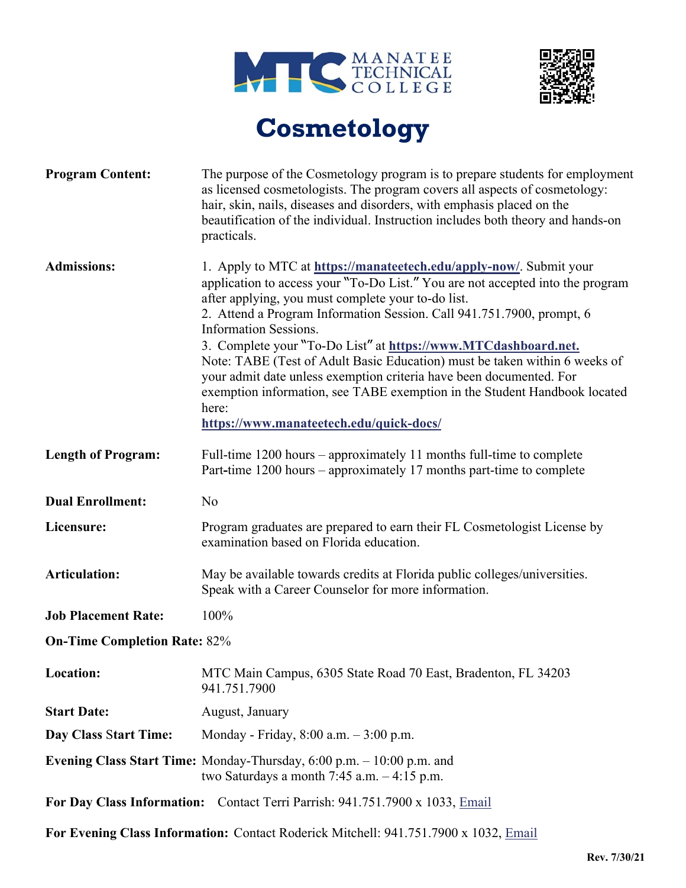



## **Cosmetology**

| <b>Program Content:</b>                                                              | The purpose of the Cosmetology program is to prepare students for employment<br>as licensed cosmetologists. The program covers all aspects of cosmetology:<br>hair, skin, nails, diseases and disorders, with emphasis placed on the<br>beautification of the individual. Instruction includes both theory and hands-on<br>practicals.                                                                                                                                                                                                                                                                                                                                      |  |
|--------------------------------------------------------------------------------------|-----------------------------------------------------------------------------------------------------------------------------------------------------------------------------------------------------------------------------------------------------------------------------------------------------------------------------------------------------------------------------------------------------------------------------------------------------------------------------------------------------------------------------------------------------------------------------------------------------------------------------------------------------------------------------|--|
| <b>Admissions:</b>                                                                   | 1. Apply to MTC at https://manateetech.edu/apply-now/. Submit your<br>application to access your "To-Do List." You are not accepted into the program<br>after applying, you must complete your to-do list.<br>2. Attend a Program Information Session. Call 941.751.7900, prompt, 6<br><b>Information Sessions.</b><br>3. Complete your "To-Do List" at https://www.MTCdashboard.net.<br>Note: TABE (Test of Adult Basic Education) must be taken within 6 weeks of<br>your admit date unless exemption criteria have been documented. For<br>exemption information, see TABE exemption in the Student Handbook located<br>here:<br>https://www.manateetech.edu/quick-docs/ |  |
| <b>Length of Program:</b>                                                            | Full-time $1200$ hours – approximately 11 months full-time to complete<br>Part-time 1200 hours – approximately 17 months part-time to complete                                                                                                                                                                                                                                                                                                                                                                                                                                                                                                                              |  |
| <b>Dual Enrollment:</b>                                                              | No                                                                                                                                                                                                                                                                                                                                                                                                                                                                                                                                                                                                                                                                          |  |
| Licensure:                                                                           | Program graduates are prepared to earn their FL Cosmetologist License by<br>examination based on Florida education.                                                                                                                                                                                                                                                                                                                                                                                                                                                                                                                                                         |  |
| <b>Articulation:</b>                                                                 | May be available towards credits at Florida public colleges/universities.<br>Speak with a Career Counselor for more information.                                                                                                                                                                                                                                                                                                                                                                                                                                                                                                                                            |  |
| <b>Job Placement Rate:</b>                                                           | 100%                                                                                                                                                                                                                                                                                                                                                                                                                                                                                                                                                                                                                                                                        |  |
| <b>On-Time Completion Rate: 82%</b>                                                  |                                                                                                                                                                                                                                                                                                                                                                                                                                                                                                                                                                                                                                                                             |  |
| Location:                                                                            | MTC Main Campus, 6305 State Road 70 East, Bradenton, FL 34203<br>941.751.7900                                                                                                                                                                                                                                                                                                                                                                                                                                                                                                                                                                                               |  |
| <b>Start Date:</b>                                                                   | August, January                                                                                                                                                                                                                                                                                                                                                                                                                                                                                                                                                                                                                                                             |  |
| Day Class Start Time:                                                                | Monday - Friday, $8:00$ a.m. $-3:00$ p.m.                                                                                                                                                                                                                                                                                                                                                                                                                                                                                                                                                                                                                                   |  |
|                                                                                      | <b>Evening Class Start Time:</b> Monday-Thursday, $6:00$ p.m. $-10:00$ p.m. and<br>two Saturdays a month $7:45$ a.m. $-4:15$ p.m.                                                                                                                                                                                                                                                                                                                                                                                                                                                                                                                                           |  |
| For Day Class Information: Contact Terri Parrish: 941.751.7900 x 1033, Email         |                                                                                                                                                                                                                                                                                                                                                                                                                                                                                                                                                                                                                                                                             |  |
| For Evening Class Information: Contact Roderick Mitchell: 941.751.7900 x 1032, Email |                                                                                                                                                                                                                                                                                                                                                                                                                                                                                                                                                                                                                                                                             |  |